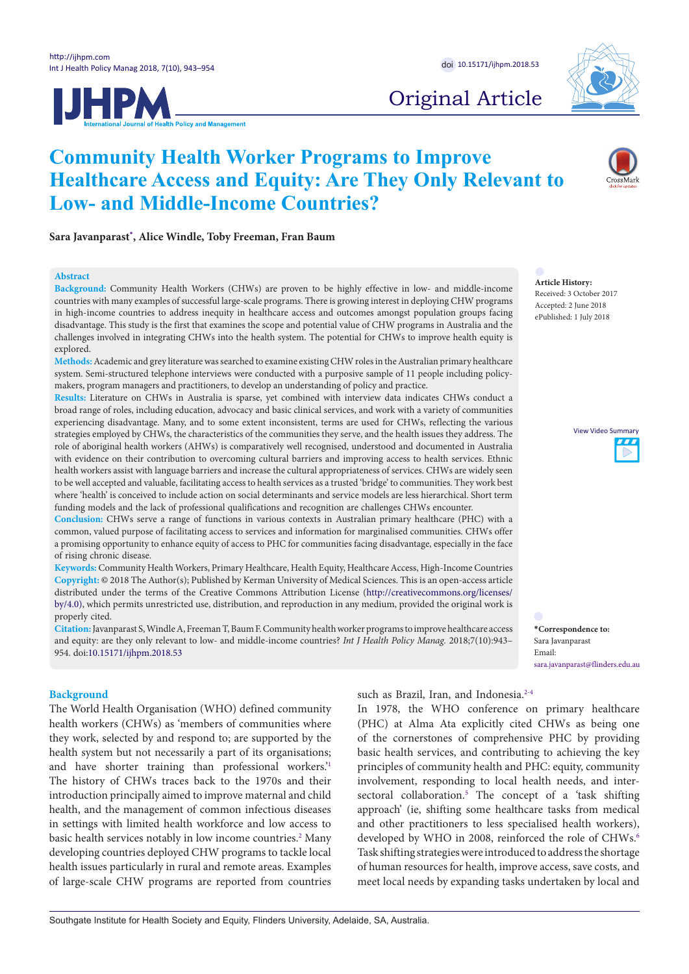



Original Article

# **Community Health Worker Programs to Improve Healthcare Access and Equity: Are They Only Relevant to Low- and Middle-Income Countries?**



Sara Javanparast\*, Al[ic](#page-0-0)e Windle, Toby Freeman, Fran Baum

#### **Abstract**

**Background:** Community Health Workers (CHWs) are proven to be highly effective in low- and middle-income **Background:** Community Fieatin Workers (CHWs) are proven to be nighty effective in fow- and middle-income countries with many examples of successful large-scale programs. There is growing interest in deploying CHW program in high-income countries to address inequity in healthcare access and outcomes amongst population groups facing disadvantage. This study is the first that examines the scope and potential value of CHW programs in Australia and the challenges involved in integrating CHWs into the health system. The potential for CHWs to improve health equity is explored. **Community Health Workers (CHWs) are proven to be highly effective in low- and middle-inc<br>All the Given School Health Control of Global Health Control of Given School Health Control of Given School of G** 

Methods: Academic and grey literature was searched to examine existing CHW roles in the Australian primary healthcare system. Semi-structured telephone interviews were conducted with a purposive sample of 11 people including policymakers, program managers and practitioners, to develop an understanding of policy and practice. Received: 5 September 2015 Accepted: 13 October 2015 Received: 5 September 2015 Accepted: 13 October 2015

Results: Literature on CHWs in Australia is sparse, yet combined with interview data indicates CHWs conduct a broad range of roles, including education, advocacy and basic clinical services, and work with a variety of communities experiencing disadvantage. Many, and to some extent inconsistent, terms are used for CHWs, reflecting the various experiencing unstavantage. Many, and to some extent meonsistent, terms are used for Criws, reneeing the various<br>strategies employed by CHWs, the characteristics of the communities they serve, and the health issues they add role of aboriginal health workers (AHWs) is comparatively well recognised, understood and documented in Australia<br>**The conflict Mouffe, Chantal Moutfe, Chantal Politics, Chantal Moutfe, AIDS, Anti-Anti-Australia** with evidence on their contribution to overcoming cultural barriers and improving access to health services. Ethnic with evidence on their contribution to overcoming cultural barriers and improving access to health service health workers assist with language barriers and increase the cultural appropriateness of services. CHWs are widely seen to be well accepted and valuable, facilitating access to health services as a trusted 'bridge' to communities. They work best where 'health' is conceived to include action on social determinants and service models are less hierarchical. Short term funding models and the lack of professional qualifications and recognition are challenges CHWs encounter. **Copyright: <sup>201</sup>6** by Copyright: **Copyright: Copyright:**  $\frac{1}{2}$  by Copyright:  $\frac{1}{2}$  by Copyright:  $\frac{1}{2}$  by Copyright:  $\frac{1}{2}$  by Copyright:  $\frac{1}{2}$  by Copyright:  $\frac{1}{2}$  by Copyright:  $\frac{1}{2}$  by Copy **\*Correspondence to:** Eivind Engebretsen Employed by CLOVs, the Characteristics of the communities they serve, and the health issues they additionally priginal nea Eivind Engebretsen

**Conclusion:** CHWs serve a range of functions in various contexts in Australian primary healthcare (PHC) with a common, valued purpose of facilitating access to services and information for marginalised communities. CHWs offer a promising opportunity to enhance equity of access to PHC for communities facing disadvantage, especially in the face of rising chronic disease. secondary, or derived from the political?

or rising cnronic aisease.<br><mark>Keywords:</mark> Community Health Workers, Primary Healthcare, Health Equity, Healthcare Access, High-Income Countries Copyright: © 2018 The Author(s); Published by Kerman University of Medical Sciences. This is an open-access article distributed under the terms of the Creative Commons Attribution License ([http://creativecommons.org/licenses/](http://creativecommons.org/licenses/by/4.0) [by/4.0](http://creativecommons.org/licenses/by/4.0)), which permits unrestricted use, distribution, and reproduction in any medium, provided the original work is by/4.0), properly cited. sing o<br>chro<br><mark>ds:</mark> C<br>;**ht:** O  $\cot$  and  $\cot$  and  $\cot$  agreement between global health scholars and  $\cot$ ca under the terms of the Creative Commons Attribution Electise (http://creativecommons.org/necnses/<br>which nermite unrestricted use distribution and reproduction in any medium provided the original work is "Although constructivists have emphasized how underlying ominumly realth workers, Primary realthcare, realth equity, realth politics.  $\mathbf{H}$ :  $\otimes$  2010 and Author( $\otimes$ ), Fuonshed by Refinant Ohiveshiy of Medical Series. This is an open-access after (2) a lack of a lack of a lack of a lack of and the production in an  $T_{\text{min}}$  is  $T_{\text{min}}$  introduced and  $\frac{1}{T_{\text{min}}^2}$ p.//creativecommons.org/necrises/  $\mathcal{L}$ 

Citation: Javanparast S, Windle A, Freeman T, Baum F. Community health worker programs to improve healthcare access \*Correspondence to: and equity: are they only relevant to low- and middle-income countries? Int J Health Policy Manag. 2018;7(10):943-<br>Sara Javanparast 954. doi:10.15171/ijhpm.2018.53 [clearly state their norm](https://doi.org/10.15171/ijhpm.2018.53)ative premises and assumptions. This clearly state their normative premises and assumptions. This  $t_{\rm max}$  as defined and infused by power, or emphasized by power, or emphasized by  $p$ confusion is for Ooms one of the explanations "why global  $t$  as defined and infused by power,  $t$  in  $t$  and  $t$  in  $t$  and  $t$  in  $t$  in  $t$  in  $t$  in  $t$  in  $t$  in  $t$  in  $t$  in  $t$  in  $t$  in  $t$  in  $t$  in  $t$  in  $t$  in  $t$  in  $t$  in  $t$  in  $t$  in  $t$  in  $t$  in  $t$  in  $t$  in

#### **Background**  $\mathbf{u}_0$  health is empirical scholars. The calls in the calls in the calls in the calls in the calls in the calls in the calls in the calls in the calls in the calls in the calls in the calls in the calls in the calls in  $\mathbf{H}$

**Euckground**<br>The World Health Organisation (WHO) defined community health workers (CHWs) as 'members of communities where they work, selected by and respond to; are supported by the health system but not necessarily a part of its organisations; and have shorter training than professional workers.<sup>21</sup> The history of CHWs traces back to the 1970s and their introduction principally aimed to improve maternal and child health, and the management of common infectious diseases in settings with limited health workforce and low access to m settings with immediated it will concept the intervelses to basic health services notably in low income countries.<sup>2</sup> Many developing countries deployed CHW programs to tackle local developing countries deployed CITW programs to tackie local<br>health issues particularly in rural and remote areas. Examples of large-scale CHW programs are reported from countries prefises (CHWs) as members of communities where sues particularly in rural and remote areas. Examples and present organisation (with) defined community atures the constitution of political view of politics and the constitution of the constitution of the constitution of the constitution of the constitution of the constitution of the constitution of the constitution of the ng countries aepioyed CH w programs to tackle local





<span id="page-0-0"></span>**\*Correspondence to:** Sara Javanparast Email: sara.javanparast@flinders.edu.au

He frames the

He frames the

such as Brazil, Iran, and Indonesia.<sup>2-[4](#page-9-1)</sup>

the political, while individual.<br>In 1978, the WHO conference on primary healthcare m 1576, the WHO connective on primary nearmedite<br>(PHC) at Alma Ata explicitly cited CHWs as being one of the cornerstones of comprehensive PHC by providing basic health services, and contributing to achieving the key basic health services, and contributing to achieving the key<br>principles of community health and PHC: equity, community involvement, responding to local health needs, and intersect[or](#page-9-2)al collaboration.<sup>5</sup> The concept of a 'task shifting approach' (ie, shifting some healthcare tasks from medical and other practitioners to less specialised health workers), developed by WHO in 2008, reinforced the role of CHWs.<sup>[6](#page-9-3)</sup> Task shifting strategies were introduced to address the shortage rask similing strategies were infroduced to address the shortage of human resources for health, improve access, save costs, and meet local needs by expanding tasks undertaken by local and through a uther politically critical CH was as being one dimension of the dimension of the dimension of the dimension of the dimension of the dimension of the dimension of the dimension of the dimension of the dimension of uman resources for health, improve access, save costs, and  $\frac{13}{2}$  and  $\frac{13}{2}$  instituted to  $\frac{1}{2}$  and  $\frac{1}{2}$  and  $\frac{1}{2}$  and  $\frac{1}{2}$  and  $\frac{1}{2}$  and  $\frac{1}{2}$  and  $\frac{1}{2}$  and  $\frac{1}{2}$  and  $\frac{1}{2}$  and  $\frac{1}{2}$  and  $\frac{1}{2}$  and  $\frac{1}{2}$  and  $\frac{1}{2}$  and  $\frac{160}{100}$  with  $\frac{2000}{100}$ , temperature for  $\frac{1}{200}$ . csnifting strategies were introduced to address the shortage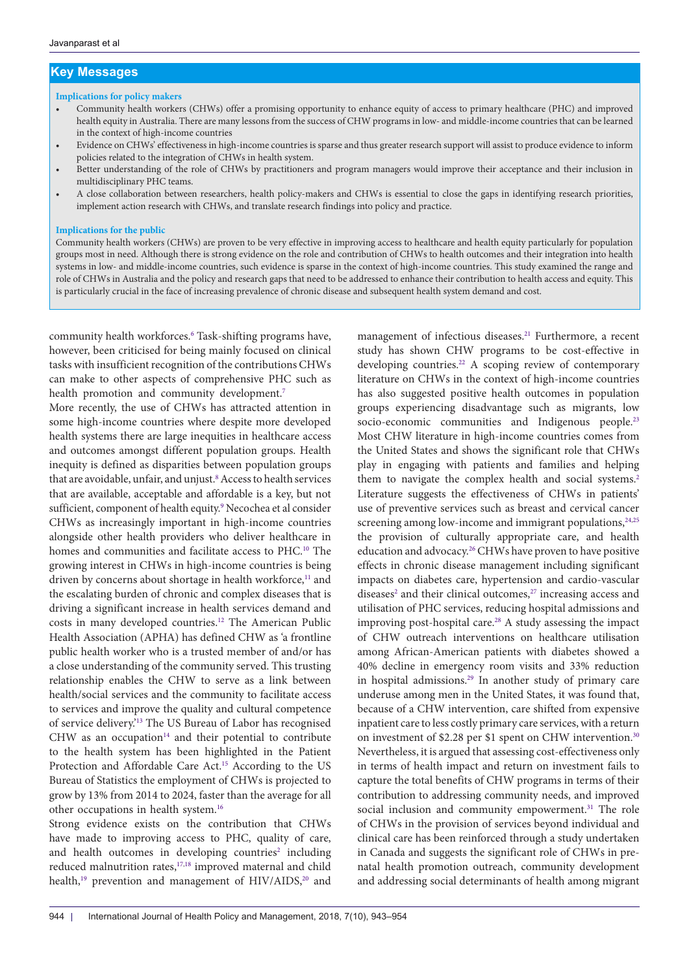## **Key Messages**

#### **Implications for policy makers**

- Community health workers (CHWs) offer a promising opportunity to enhance equity of access to primary healthcare (PHC) and improved health equity in Australia. There are many lessons from the success of CHW programs in low- and middle-income countries that can be learned in the context of high-income countries
- Evidence on CHWs' effectiveness in high-income countries is sparse and thus greater research support will assist to produce evidence to inform policies related to the integration of CHWs in health system.
- Better understanding of the role of CHWs by practitioners and program managers would improve their acceptance and their inclusion in multidisciplinary PHC teams.
- A close collaboration between researchers, health policy-makers and CHWs is essential to close the gaps in identifying research priorities, implement action research with CHWs, and translate research findings into policy and practice.

#### **Implications for the public**

Community health workers (CHWs) are proven to be very effective in improving access to healthcare and health equity particularly for population groups most in need. Although there is strong evidence on the role and contribution of CHWs to health outcomes and their integration into health systems in low- and middle-income countries, such evidence is sparse in the context of high-income countries. This study examined the range and role of CHWs in Australia and the policy and research gaps that need to be addressed to enhance their contribution to health access and equity. This is particularly crucial in the face of increasing prevalence of chronic disease and subsequent health system demand and cost.

community health workforces.<sup>[6](#page-9-3)</sup> Task-shifting programs have, however, been criticised for being mainly focused on clinical tasks with insufficient recognition of the contributions CHWs can make to other aspects of comprehensive PHC such as health promotion and community development.<sup>[7](#page-9-4)</sup>

More recently, the use of CHWs has attracted attention in some high-income countries where despite more developed health systems there are large inequities in healthcare access and outcomes amongst different population groups. Health inequity is defined as disparities between population groups that are avoidable, unfair, and unjust.<sup>8</sup> Access to health services that are available, acceptable and affordable is a key, but not sufficient, component of health equity.<sup>[9](#page-9-6)</sup> Necochea et al consider CHWs as increasingly important in high-income countries alongside other health providers who deliver healthcare in homes and communities and facilitate access to PHC.<sup>[10](#page-9-7)</sup> The growing interest in CHWs in high-income countries is being driven by concerns about shortage in health workforce,<sup>11</sup> and the escalating burden of chronic and complex diseases that is driving a significant increase in health services demand and costs in many developed countries[.12](#page-9-9) The American Public Health Association (APHA) has defined CHW as 'a frontline public health worker who is a trusted member of and/or has a close understanding of the community served. This trusting relationship enables the CHW to serve as a link between health/social services and the community to facilitate access to services and improve the quality and cultural competence of service delivery.'[13](#page-9-10) The US Bureau of Labor has recognised CHW as an occupation $14$  and their potential to contribute to the health system has been highlighted in the Patient Protection and Affordable Care Act.[15](#page-9-12) According to the US Bureau of Statistics the employment of CHWs is projected to grow by 13% from 2014 to 2024, faster than the average for all other occupations in health system[.16](#page-9-13)

Strong evidence exists on the contribution that CHWs have made to improving access to PHC, quality of care, and health outcomes in developing countries<sup>2</sup> including reduced malnutrition rates,<sup>[17](#page-9-14),[18](#page-9-15)</sup> improved maternal and child health,<sup>[19](#page-9-16)</sup> prevention and management of HIV/AIDS,<sup>20</sup> and

management of infectious diseases.<sup>21</sup> Furthermore, a recent study has shown CHW programs to be cost-effective in developing countries.<sup>[22](#page-9-19)</sup> A scoping review of contemporary literature on CHWs in the context of high-income countries has also suggested positive health outcomes in population groups experiencing disadvantage such as migrants, low socio-economic communities and Indigenous people.<sup>23</sup> Most CHW literature in high-income countries comes from the United States and shows the significant role that CHWs play in engaging with patients and families and helping them to navigate the complex health and social systems.<sup>[2](#page-9-0)</sup> Literature suggests the effectiveness of CHWs in patients' use of preventive services such as breast and cervical cancer screening among low-income and immigrant populations,<sup>24,[25](#page-9-22)</sup> the provision of culturally appropriate care, and health education and advocacy[.26](#page-9-23) CHWs have proven to have positive effects in chronic disease management including significant impacts on diabetes care, hypertension and cardio-vascular diseases<sup>[2](#page-9-0)</sup> and their clinical outcomes,<sup>27</sup> increasing access and utilisation of PHC services, reducing hospital admissions and improving post-hospital care.<sup>28</sup> A study assessing the impact of CHW outreach interventions on healthcare utilisation among African-American patients with diabetes showed a 40% decline in emergency room visits and 33% reduction in hospital admissions.[29](#page-9-26) In another study of primary care underuse among men in the United States, it was found that, because of a CHW intervention, care shifted from expensive inpatient care to less costly primary care services, with a return on investment of \$2.28 per \$1 spent on CHW intervention[.30](#page-9-27) Nevertheless, it is argued that assessing cost-effectiveness only in terms of health impact and return on investment fails to capture the total benefits of CHW programs in terms of their contribution to addressing community needs, and improved social inclusion and community empowerment.<sup>31</sup> The role of CHWs in the provision of services beyond individual and clinical care has been reinforced through a study undertaken in Canada and suggests the significant role of CHWs in prenatal health promotion outreach, community development and addressing social determinants of health among migrant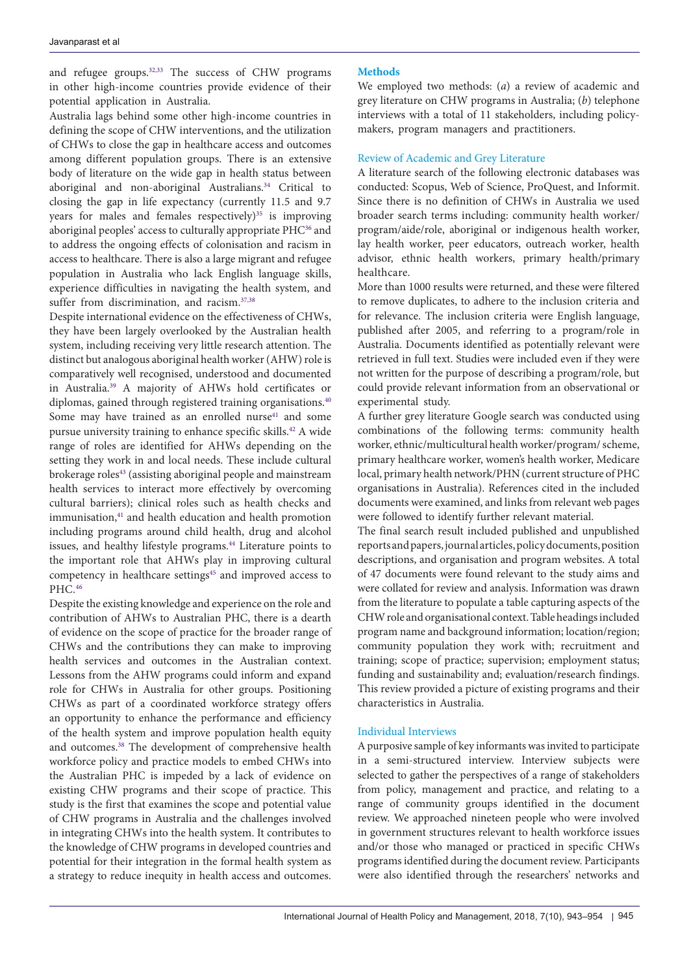and refugee groups.<sup>[32](#page-9-29),[33](#page-9-30)</sup> The success of CHW programs in other high-income countries provide evidence of their potential application in Australia.

Australia lags behind some other high-income countries in defining the scope of CHW interventions, and the utilization of CHWs to close the gap in healthcare access and outcomes among different population groups. There is an extensive body of literature on the wide gap in health status between aboriginal and non-aboriginal Australians.<sup>34</sup> Critical to closing the gap in life expectancy (currently 11.5 and 9.7 years for males and females respectively) $35$  is improving aboriginal peoples' access to culturally appropriate PHC<sup>[36](#page-10-1)</sup> and to address the ongoing effects of colonisation and racism in access to healthcare. There is also a large migrant and refugee population in Australia who lack English language skills, experience difficulties in navigating the health system, and suffer from discrimination, and racism.<sup>37,[38](#page-10-3)</sup>

Despite international evidence on the effectiveness of CHWs, they have been largely overlooked by the Australian health system, including receiving very little research attention. The distinct but analogous aboriginal health worker (AHW) role is comparatively well recognised, understood and documented in Australia.[39](#page-10-4) A majority of AHWs hold certificates or diplomas, gained through registered training organisations.<sup>[40](#page-10-5)</sup> Some may have trained as an enrolled nurse<sup>41</sup> and some pursue university training to enhance specific skills.[42](#page-10-7) A wide range of roles are identified for AHWs depending on the setting they work in and local needs. These include cultural brokerage roles<sup>43</sup> (assisting aboriginal people and mainstream health services to interact more effectively by overcoming cultural barriers); clinical roles such as health checks and immunisation,<sup>41</sup> and health education and health promotion including programs around child health, drug and alcohol issues, and healthy lifestyle programs.<sup>[44](#page-10-9)</sup> Literature points to the important role that AHWs play in improving cultural competency in healthcare settings<sup>45</sup> and improved access to PHC.[46](#page-10-11)

Despite the existing knowledge and experience on the role and contribution of AHWs to Australian PHC, there is a dearth of evidence on the scope of practice for the broader range of CHWs and the contributions they can make to improving health services and outcomes in the Australian context. Lessons from the AHW programs could inform and expand role for CHWs in Australia for other groups. Positioning CHWs as part of a coordinated workforce strategy offers an opportunity to enhance the performance and efficiency of the health system and improve population health equity and outcomes.<sup>38</sup> The development of comprehensive health workforce policy and practice models to embed CHWs into the Australian PHC is impeded by a lack of evidence on existing CHW programs and their scope of practice. This study is the first that examines the scope and potential value of CHW programs in Australia and the challenges involved in integrating CHWs into the health system. It contributes to the knowledge of CHW programs in developed countries and potential for their integration in the formal health system as a strategy to reduce inequity in health access and outcomes.

#### **Methods**

We employed two methods: (*a*) a review of academic and grey literature on CHW programs in Australia; (*b*) telephone interviews with a total of 11 stakeholders, including policymakers, program managers and practitioners.

#### Review of Academic and Grey Literature

A literature search of the following electronic databases was conducted: Scopus, Web of Science, ProQuest, and Informit. Since there is no definition of CHWs in Australia we used broader search terms including: community health worker/ program/aide/role, aboriginal or indigenous health worker, lay health worker, peer educators, outreach worker, health advisor, ethnic health workers, primary health/primary healthcare.

More than 1000 results were returned, and these were filtered to remove duplicates, to adhere to the inclusion criteria and for relevance. The inclusion criteria were English language, published after 2005, and referring to a program/role in Australia. Documents identified as potentially relevant were retrieved in full text. Studies were included even if they were not written for the purpose of describing a program/role, but could provide relevant information from an observational or experimental study.

A further grey literature Google search was conducted using combinations of the following terms: community health worker, ethnic/multicultural health worker/program/ scheme, primary healthcare worker, women's health worker, Medicare local, primary health network/PHN (current structure of PHC organisations in Australia). References cited in the included documents were examined, and links from relevant web pages were followed to identify further relevant material.

The final search result included published and unpublished reports and papers, journal articles, policy documents, position descriptions, and organisation and program websites. A total of 47 documents were found relevant to the study aims and were collated for review and analysis. Information was drawn from the literature to populate a table capturing aspects of the CHW role and organisational context. Table headings included program name and background information; location/region; community population they work with; recruitment and training; scope of practice; supervision; employment status; funding and sustainability and; evaluation/research findings. This review provided a picture of existing programs and their characteristics in Australia.

#### Individual Interviews

A purposive sample of key informants was invited to participate in a semi-structured interview. Interview subjects were selected to gather the perspectives of a range of stakeholders from policy, management and practice, and relating to a range of community groups identified in the document review. We approached nineteen people who were involved in government structures relevant to health workforce issues and/or those who managed or practiced in specific CHWs programs identified during the document review. Participants were also identified through the researchers' networks and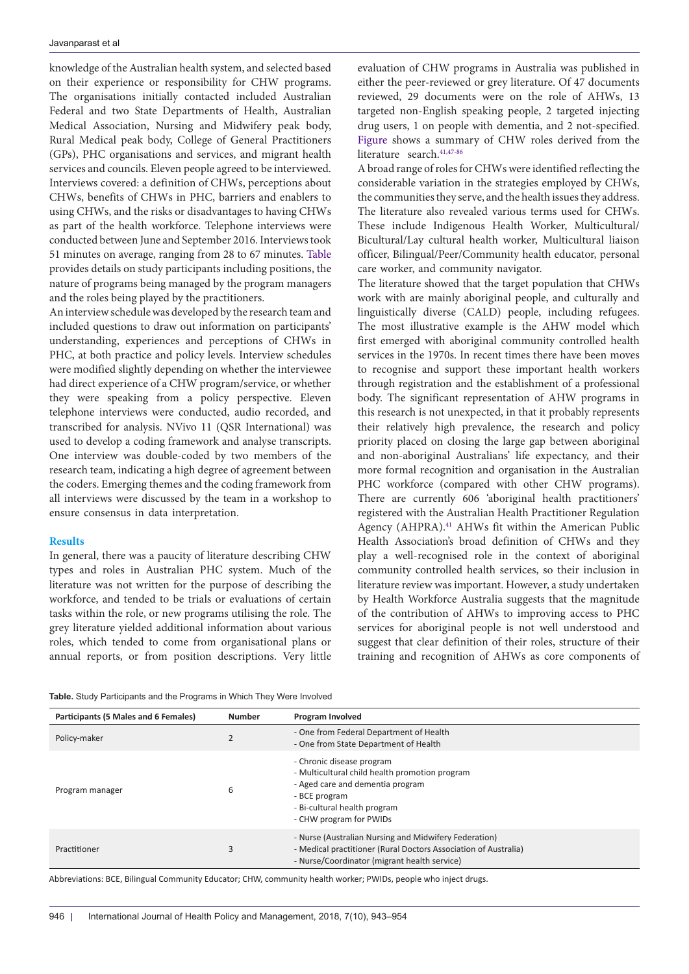knowledge of the Australian health system, and selected based on their experience or responsibility for CHW programs. The organisations initially contacted included Australian Federal and two State Departments of Health, Australian Medical Association, Nursing and Midwifery peak body, Rural Medical peak body, College of General Practitioners (GPs), PHC organisations and services, and migrant health services and councils. Eleven people agreed to be interviewed. Interviews covered: a definition of CHWs, perceptions about CHWs, benefits of CHWs in PHC, barriers and enablers to using CHWs, and the risks or disadvantages to having CHWs as part of the health workforce. Telephone interviews were conducted between June and September 2016. Interviews took 51 minutes on average, ranging from 28 to 67 minutes. [Table](#page-3-0) provides details on study participants including positions, the nature of programs being managed by the program managers and the roles being played by the practitioners.

An interview schedule was developed by the research team and included questions to draw out information on participants' understanding, experiences and perceptions of CHWs in PHC, at both practice and policy levels. Interview schedules were modified slightly depending on whether the interviewee had direct experience of a CHW program/service, or whether they were speaking from a policy perspective. Eleven telephone interviews were conducted, audio recorded, and transcribed for analysis. NVivo 11 (QSR International) was used to develop a coding framework and analyse transcripts. One interview was double-coded by two members of the research team, indicating a high degree of agreement between the coders. Emerging themes and the coding framework from all interviews were discussed by the team in a workshop to ensure consensus in data interpretation.

#### **Results**

In general, there was a paucity of literature describing CHW types and roles in Australian PHC system. Much of the literature was not written for the purpose of describing the workforce, and tended to be trials or evaluations of certain tasks within the role, or new programs utilising the role. The grey literature yielded additional information about various roles, which tended to come from organisational plans or annual reports, or from position descriptions. Very little evaluation of CHW programs in Australia was published in either the peer-reviewed or grey literature. Of 47 documents reviewed, 29 documents were on the role of AHWs, 13 targeted non-English speaking people, 2 targeted injecting drug users, 1 on people with dementia, and 2 not-specified. [Figure](#page-4-0) shows a summary of CHW roles derived from the literature search.<sup>[41,](#page-10-6)[47](#page-10-12)-[86](#page-11-1)</sup>

A broad range of roles for CHWs were identified reflecting the considerable variation in the strategies employed by CHWs, the communities they serve, and the health issues they address. The literature also revealed various terms used for CHWs. These include Indigenous Health Worker, Multicultural/ Bicultural/Lay cultural health worker, Multicultural liaison officer, Bilingual/Peer/Community health educator, personal care worker, and community navigator.

The literature showed that the target population that CHWs work with are mainly aboriginal people, and culturally and linguistically diverse (CALD) people, including refugees. The most illustrative example is the AHW model which first emerged with aboriginal community controlled health services in the 1970s. In recent times there have been moves to recognise and support these important health workers through registration and the establishment of a professional body. The significant representation of AHW programs in this research is not unexpected, in that it probably represents their relatively high prevalence, the research and policy priority placed on closing the large gap between aboriginal and non-aboriginal Australians' life expectancy, and their more formal recognition and organisation in the Australian PHC workforce (compared with other CHW programs). There are currently 606 'aboriginal health practitioners' registered with the Australian Health Practitioner Regulation Agency (AHPRA).<sup>41</sup> AHWs fit within the American Public Health Association's broad definition of CHWs and they play a well-recognised role in the context of aboriginal community controlled health services, so their inclusion in literature review was important. However, a study undertaken by Health Workforce Australia suggests that the magnitude of the contribution of AHWs to improving access to PHC services for aboriginal people is not well understood and suggest that clear definition of their roles, structure of their training and recognition of AHWs as core components of

<span id="page-3-0"></span>

|  |  | Table. Study Participants and the Programs in Which They Were Involved |  |  |  |  |  |
|--|--|------------------------------------------------------------------------|--|--|--|--|--|
|--|--|------------------------------------------------------------------------|--|--|--|--|--|

| Participants (5 Males and 6 Females) | <b>Number</b> | Program Involved                                                                                                                                                                            |  |  |
|--------------------------------------|---------------|---------------------------------------------------------------------------------------------------------------------------------------------------------------------------------------------|--|--|
| Policy-maker                         |               | - One from Federal Department of Health<br>- One from State Department of Health                                                                                                            |  |  |
| Program manager                      | 6             | - Chronic disease program<br>- Multicultural child health promotion program<br>- Aged care and dementia program<br>- BCE program<br>- Bi-cultural health program<br>- CHW program for PWIDs |  |  |
| Practitioner                         | 3             | - Nurse (Australian Nursing and Midwifery Federation)<br>- Medical practitioner (Rural Doctors Association of Australia)<br>- Nurse/Coordinator (migrant health service)                    |  |  |

Abbreviations: BCE, Bilingual Community Educator; CHW, community health worker; PWIDs, people who inject drugs.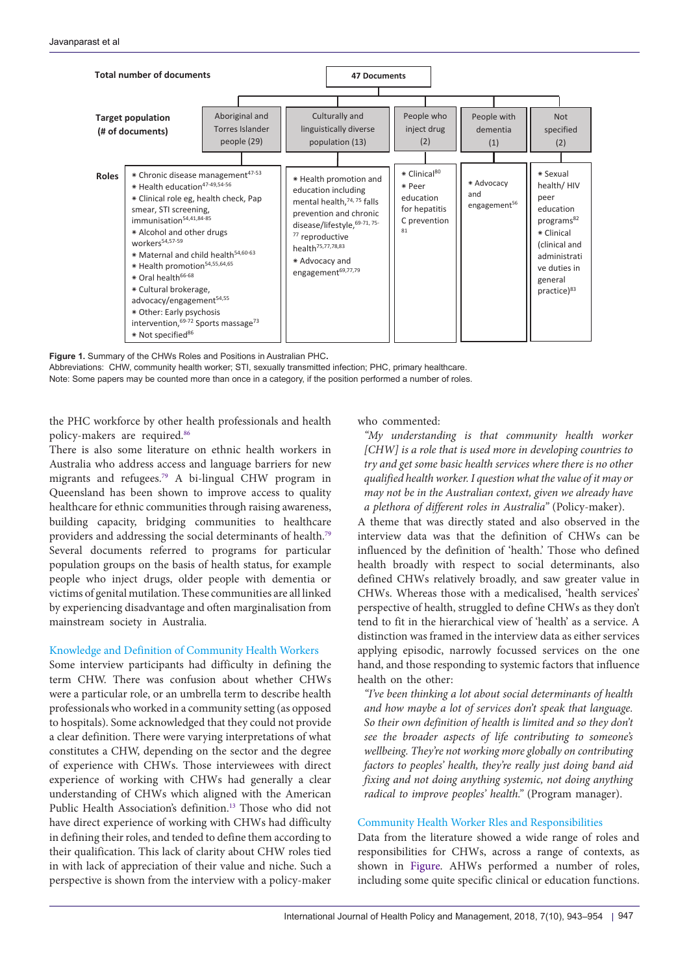<span id="page-4-0"></span>

**Figure 1.** Summary of the CHWs Roles and Positions in Australian PHC**.** 

Abbreviations: CHW, community health worker; STI, sexually transmitted infection; PHC, primary healthcare. Note: Some papers may be counted more than once in a category, if the position performed a number of roles.

the PHC workforce by other health professionals and health policy-makers are required.[86](#page-11-1)

There is also some literature on ethnic health workers in Australia who address access and language barriers for new migrants and refugees.[79](#page-11-2) A bi-lingual CHW program in Queensland has been shown to improve access to quality healthcare for ethnic communities through raising awareness, building capacity, bridging communities to healthcare providers and addressing the social determinants of health.[79](#page-11-2) Several documents referred to programs for particular population groups on the basis of health status, for example people who inject drugs, older people with dementia or victims of genital mutilation. These communities are all linked by experiencing disadvantage and often marginalisation from mainstream society in Australia.

#### Knowledge and Definition of Community Health Workers

Some interview participants had difficulty in defining the term CHW. There was confusion about whether CHWs were a particular role, or an umbrella term to describe health professionals who worked in a community setting (as opposed to hospitals). Some acknowledged that they could not provide a clear definition. There were varying interpretations of what constitutes a CHW, depending on the sector and the degree of experience with CHWs. Those interviewees with direct experience of working with CHWs had generally a clear understanding of CHWs which aligned with the American Public Health Association's definition.<sup>13</sup> Those who did not have direct experience of working with CHWs had difficulty in defining their roles, and tended to define them according to their qualification. This lack of clarity about CHW roles tied in with lack of appreciation of their value and niche. Such a perspective is shown from the interview with a policy-maker

who commented:

*"My understanding is that community health worker [CHW] is a role that is used more in developing countries to try and get some basic health services where there is no other qualified health worker. I question what the value of it may or may not be in the Australian context, given we already have a plethora of different roles in Australia"* (Policy-maker).

A theme that was directly stated and also observed in the interview data was that the definition of CHWs can be influenced by the definition of 'health.' Those who defined health broadly with respect to social determinants, also defined CHWs relatively broadly, and saw greater value in CHWs. Whereas those with a medicalised, 'health services' perspective of health, struggled to define CHWs as they don't tend to fit in the hierarchical view of 'health' as a service. A distinction was framed in the interview data as either services applying episodic, narrowly focussed services on the one hand, and those responding to systemic factors that influence health on the other:

*"I've been thinking a lot about social determinants of health and how maybe a lot of services don't speak that language. So their own definition of health is limited and so they don't see the broader aspects of life contributing to someone's wellbeing. They're not working more globally on contributing factors to peoples' health, they're really just doing band aid fixing and not doing anything systemic, not doing anything radical to improve peoples' health."* (Program manager).

### Community Health Worker Rles and Responsibilities

Data from the literature showed a wide range of roles and responsibilities for CHWs, across a range of contexts, as shown in [Figure](#page-4-0). AHWs performed a number of roles, including some quite specific clinical or education functions.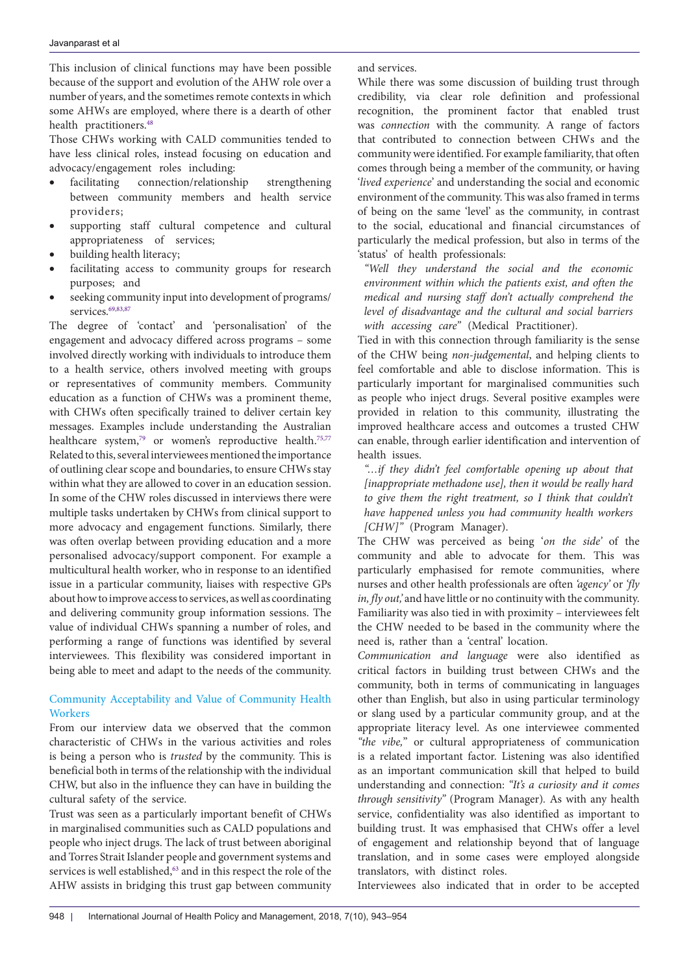This inclusion of clinical functions may have been possible because of the support and evolution of the AHW role over a number of years, and the sometimes remote contexts in which some AHWs are employed, where there is a dearth of other health practitioners.<sup>[48](#page-10-13)</sup>

Those CHWs working with CALD communities tended to have less clinical roles, instead focusing on education and advocacy/engagement roles including:

- • facilitating connection/relationship strengthening between community members and health service providers;
- supporting staff cultural competence and cultural appropriateness of services;
- building health literacy;
- facilitating access to community groups for research purposes; and
- seeking community input into development of programs/ services.<sup>[69](#page-10-14),[83](#page-11-3)[,87](#page-11-4)</sup>

The degree of 'contact' and 'personalisation' of the engagement and advocacy differed across programs – some involved directly working with individuals to introduce them to a health service, others involved meeting with groups or representatives of community members. Community education as a function of CHWs was a prominent theme, with CHWs often specifically trained to deliver certain key messages. Examples include understanding the Australian healthcare system,<sup>79</sup> or women's reproductive health.<sup>[75](#page-10-15),[77](#page-11-5)</sup> Related to this, several interviewees mentioned the importance of outlining clear scope and boundaries, to ensure CHWs stay within what they are allowed to cover in an education session. In some of the CHW roles discussed in interviews there were multiple tasks undertaken by CHWs from clinical support to more advocacy and engagement functions. Similarly, there was often overlap between providing education and a more personalised advocacy/support component. For example a multicultural health worker, who in response to an identified issue in a particular community, liaises with respective GPs about how to improve access to services, as well as coordinating and delivering community group information sessions. The value of individual CHWs spanning a number of roles, and performing a range of functions was identified by several interviewees. This flexibility was considered important in being able to meet and adapt to the needs of the community.

Community Acceptability and Value of Community Health **Workers** 

From our interview data we observed that the common characteristic of CHWs in the various activities and roles is being a person who is *trusted* by the community. This is beneficial both in terms of the relationship with the individual CHW, but also in the influence they can have in building the cultural safety of the service.

Trust was seen as a particularly important benefit of CHWs in marginalised communities such as CALD populations and people who inject drugs. The lack of trust between aboriginal and Torres Strait Islander people and government systems and services is well established,<sup>63</sup> and in this respect the role of the AHW assists in bridging this trust gap between community and services.

While there was some discussion of building trust through credibility, via clear role definition and professional recognition, the prominent factor that enabled trust was *connection* with the community. A range of factors that contributed to connection between CHWs and the community were identified. For example familiarity, that often comes through being a member of the community, or having '*lived experience*' and understanding the social and economic environment of the community. This was also framed in terms of being on the same 'level' as the community, in contrast to the social, educational and financial circumstances of particularly the medical profession, but also in terms of the 'status' of health professionals:

*"Well they understand the social and the economic environment within which the patients exist, and often the medical and nursing staff don't actually comprehend the level of disadvantage and the cultural and social barriers with accessing care"* (Medical Practitioner).

Tied in with this connection through familiarity is the sense of the CHW being *non-judgemental*, and helping clients to feel comfortable and able to disclose information. This is particularly important for marginalised communities such as people who inject drugs. Several positive examples were provided in relation to this community, illustrating the improved healthcare access and outcomes a trusted CHW can enable, through earlier identification and intervention of health issues.

*"…if they didn't feel comfortable opening up about that [inappropriate methadone use], then it would be really hard to give them the right treatment, so I think that couldn't have happened unless you had community health workers [CHW]"* (Program Manager).

The CHW was perceived as being '*on the side'* of the community and able to advocate for them. This was particularly emphasised for remote communities, where nurses and other health professionals are often *'agency'* or *'fly in, fly out,'* and have little or no continuity with the community. Familiarity was also tied in with proximity – interviewees felt the CHW needed to be based in the community where the need is, rather than a 'central' location.

*Communication and language* were also identified as critical factors in building trust between CHWs and the community, both in terms of communicating in languages other than English, but also in using particular terminology or slang used by a particular community group, and at the appropriate literacy level. As one interviewee commented *"the vibe,*" or cultural appropriateness of communication is a related important factor. Listening was also identified as an important communication skill that helped to build understanding and connection: *"It's a curiosity and it comes through sensitivity"* (Program Manager)*.* As with any health service, confidentiality was also identified as important to building trust. It was emphasised that CHWs offer a level of engagement and relationship beyond that of language translation, and in some cases were employed alongside translators, with distinct roles.

Interviewees also indicated that in order to be accepted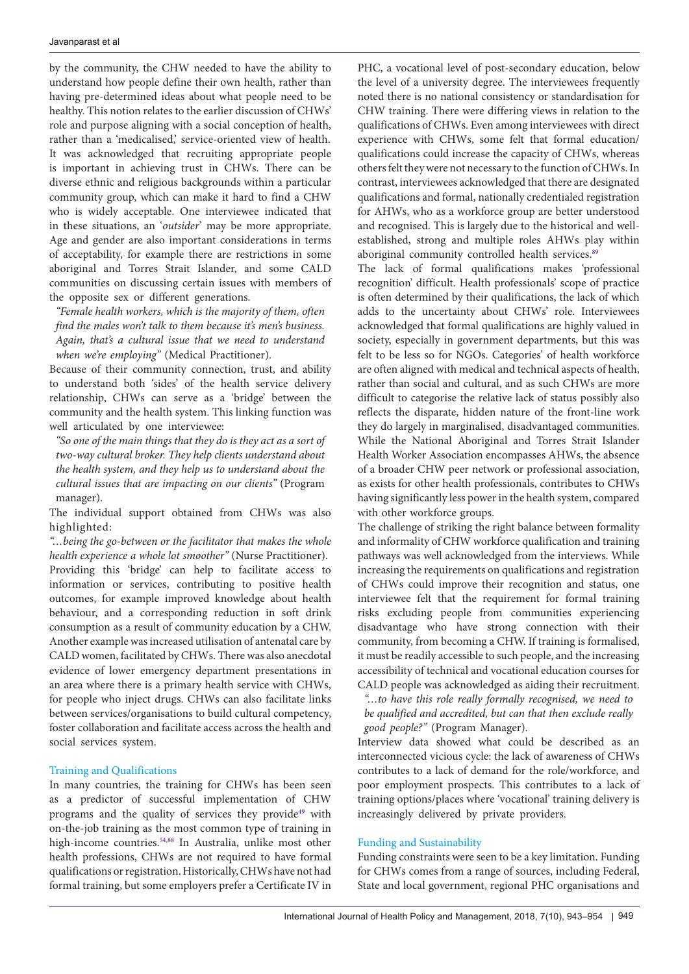by the community, the CHW needed to have the ability to understand how people define their own health, rather than having pre-determined ideas about what people need to be healthy. This notion relates to the earlier discussion of CHWs' role and purpose aligning with a social conception of health, rather than a 'medicalised,' service-oriented view of health. It was acknowledged that recruiting appropriate people is important in achieving trust in CHWs. There can be diverse ethnic and religious backgrounds within a particular community group, which can make it hard to find a CHW who is widely acceptable. One interviewee indicated that in these situations, an '*outsider*' may be more appropriate. Age and gender are also important considerations in terms of acceptability, for example there are restrictions in some aboriginal and Torres Strait Islander, and some CALD communities on discussing certain issues with members of the opposite sex or different generations.

*"Female health workers, which is the majority of them, often find the males won't talk to them because it's men's business. Again, that's a cultural issue that we need to understand when we're employing"* (Medical Practitioner).

Because of their community connection, trust, and ability to understand both 'sides' of the health service delivery relationship, CHWs can serve as a 'bridge' between the community and the health system. This linking function was well articulated by one interviewee:

*"So one of the main things that they do is they act as a sort of two-way cultural broker. They help clients understand about the health system, and they help us to understand about the cultural issues that are impacting on our clients"* (Program manager).

The individual support obtained from CHWs was also highlighted:

*"…being the go-between or the facilitator that makes the whole health experience a whole lot smoother"* (Nurse Practitioner). Providing this 'bridge' can help to facilitate access to information or services, contributing to positive health outcomes, for example improved knowledge about health behaviour, and a corresponding reduction in soft drink consumption as a result of community education by a CHW. Another example was increased utilisation of antenatal care by CALD women, facilitated by CHWs. There was also anecdotal evidence of lower emergency department presentations in an area where there is a primary health service with CHWs, for people who inject drugs. CHWs can also facilitate links between services/organisations to build cultural competency, foster collaboration and facilitate access across the health and social services system.

#### Training and Qualifications

In many countries, the training for CHWs has been seen as a predictor of successful implementation of CHW programs and the quality of services they provide<sup>[49](#page-10-17)</sup> with on-the-job training as the most common type of training in high-income countries.<sup>[54](#page-10-18),[88](#page-11-6)</sup> In Australia, unlike most other health professions, CHWs are not required to have formal qualifications or registration. Historically, CHWs have not had formal training, but some employers prefer a Certificate IV in

PHC, a vocational level of post-secondary education, below the level of a university degree. The interviewees frequently noted there is no national consistency or standardisation for CHW training. There were differing views in relation to the qualifications of CHWs. Even among interviewees with direct experience with CHWs, some felt that formal education/ qualifications could increase the capacity of CHWs, whereas others felt they were not necessary to the function of CHWs. In contrast, interviewees acknowledged that there are designated qualifications and formal, nationally credentialed registration for AHWs, who as a workforce group are better understood and recognised. This is largely due to the historical and wellestablished, strong and multiple roles AHWs play within aboriginal community controlled health services.<sup>[89](#page-11-7)</sup>

The lack of formal qualifications makes 'professional recognition' difficult. Health professionals' scope of practice is often determined by their qualifications, the lack of which adds to the uncertainty about CHWs' role. Interviewees acknowledged that formal qualifications are highly valued in society, especially in government departments, but this was felt to be less so for NGOs. Categories' of health workforce are often aligned with medical and technical aspects of health, rather than social and cultural, and as such CHWs are more difficult to categorise the relative lack of status possibly also reflects the disparate, hidden nature of the front-line work they do largely in marginalised, disadvantaged communities. While the National Aboriginal and Torres Strait Islander Health Worker Association encompasses AHWs, the absence of a broader CHW peer network or professional association, as exists for other health professionals, contributes to CHWs having significantly less power in the health system, compared with other workforce groups.

The challenge of striking the right balance between formality and informality of CHW workforce qualification and training pathways was well acknowledged from the interviews. While increasing the requirements on qualifications and registration of CHWs could improve their recognition and status, one interviewee felt that the requirement for formal training risks excluding people from communities experiencing disadvantage who have strong connection with their community, from becoming a CHW. If training is formalised, it must be readily accessible to such people, and the increasing accessibility of technical and vocational education courses for CALD people was acknowledged as aiding their recruitment.

*"…to have this role really formally recognised, we need to be qualified and accredited, but can that then exclude really good people?"* (Program Manager).

Interview data showed what could be described as an interconnected vicious cycle: the lack of awareness of CHWs contributes to a lack of demand for the role/workforce, and poor employment prospects. This contributes to a lack of training options/places where 'vocational' training delivery is increasingly delivered by private providers.

#### Funding and Sustainability

Funding constraints were seen to be a key limitation. Funding for CHWs comes from a range of sources, including Federal, State and local government, regional PHC organisations and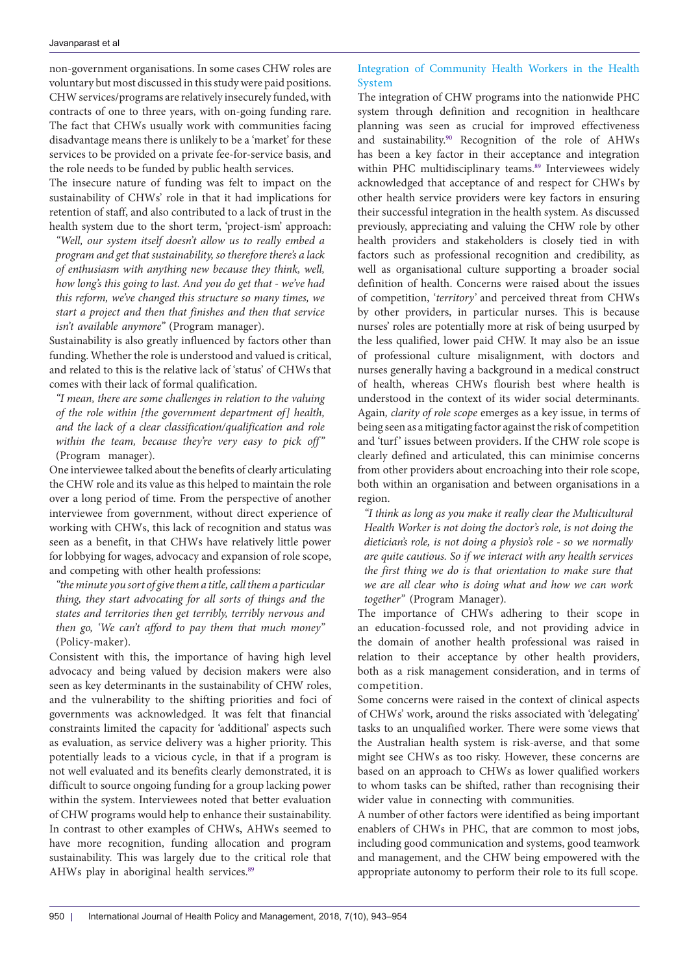non-government organisations. In some cases CHW roles are voluntary but most discussed in this study were paid positions. CHW services/programs are relatively insecurely funded, with contracts of one to three years, with on-going funding rare. The fact that CHWs usually work with communities facing disadvantage means there is unlikely to be a 'market' for these services to be provided on a private fee-for-service basis, and the role needs to be funded by public health services.

The insecure nature of funding was felt to impact on the sustainability of CHWs' role in that it had implications for retention of staff, and also contributed to a lack of trust in the health system due to the short term, 'project-ism' approach:

*"Well, our system itself doesn't allow us to really embed a program and get that sustainability, so therefore there's a lack of enthusiasm with anything new because they think, well, how long's this going to last. And you do get that - we've had this reform, we've changed this structure so many times, we start a project and then that finishes and then that service isn't available anymore"* (Program manager).

Sustainability is also greatly influenced by factors other than funding. Whether the role is understood and valued is critical, and related to this is the relative lack of 'status' of CHWs that comes with their lack of formal qualification.

*"I mean, there are some challenges in relation to the valuing of the role within [the government department of] health, and the lack of a clear classification/qualification and role within the team, because they're very easy to pick off"*  (Program manager).

One interviewee talked about the benefits of clearly articulating the CHW role and its value as this helped to maintain the role over a long period of time. From the perspective of another interviewee from government, without direct experience of working with CHWs, this lack of recognition and status was seen as a benefit, in that CHWs have relatively little power for lobbying for wages, advocacy and expansion of role scope, and competing with other health professions:

*"the minute you sort of give them a title, call them a particular thing, they start advocating for all sorts of things and the states and territories then get terribly, terribly nervous and then go, 'We can't afford to pay them that much money"*  (Policy-maker).

Consistent with this, the importance of having high level advocacy and being valued by decision makers were also seen as key determinants in the sustainability of CHW roles, and the vulnerability to the shifting priorities and foci of governments was acknowledged. It was felt that financial constraints limited the capacity for 'additional' aspects such as evaluation, as service delivery was a higher priority. This potentially leads to a vicious cycle, in that if a program is not well evaluated and its benefits clearly demonstrated, it is difficult to source ongoing funding for a group lacking power within the system. Interviewees noted that better evaluation of CHW programs would help to enhance their sustainability. In contrast to other examples of CHWs, AHWs seemed to have more recognition, funding allocation and program sustainability. This was largely due to the critical role that AHWs play in aboriginal health services.<sup>89</sup>

# Integration of Community Health Workers in the Health System

The integration of CHW programs into the nationwide PHC system through definition and recognition in healthcare planning was seen as crucial for improved effectiveness and sustainability[.90](#page-11-8) Recognition of the role of AHWs has been a key factor in their acceptance and integration within PHC multidisciplinary teams.<sup>89</sup> Interviewees widely acknowledged that acceptance of and respect for CHWs by other health service providers were key factors in ensuring their successful integration in the health system. As discussed previously, appreciating and valuing the CHW role by other health providers and stakeholders is closely tied in with factors such as professional recognition and credibility, as well as organisational culture supporting a broader social definition of health. Concerns were raised about the issues of competition, '*territory'* and perceived threat from CHWs by other providers, in particular nurses. This is because nurses' roles are potentially more at risk of being usurped by the less qualified, lower paid CHW. It may also be an issue of professional culture misalignment, with doctors and nurses generally having a background in a medical construct of health, whereas CHWs flourish best where health is understood in the context of its wider social determinants. Again*, clarity of role scope* emerges as a key issue, in terms of being seen as a mitigating factor against the risk of competition and 'turf' issues between providers. If the CHW role scope is clearly defined and articulated, this can minimise concerns from other providers about encroaching into their role scope, both within an organisation and between organisations in a region.

*"I think as long as you make it really clear the Multicultural Health Worker is not doing the doctor's role, is not doing the dietician's role, is not doing a physio's role - so we normally are quite cautious. So if we interact with any health services the first thing we do is that orientation to make sure that we are all clear who is doing what and how we can work together"* (Program Manager).

The importance of CHWs adhering to their scope in an education-focussed role, and not providing advice in the domain of another health professional was raised in relation to their acceptance by other health providers, both as a risk management consideration, and in terms of competition.

Some concerns were raised in the context of clinical aspects of CHWs' work, around the risks associated with 'delegating' tasks to an unqualified worker. There were some views that the Australian health system is risk-averse, and that some might see CHWs as too risky. However, these concerns are based on an approach to CHWs as lower qualified workers to whom tasks can be shifted, rather than recognising their wider value in connecting with communities.

A number of other factors were identified as being important enablers of CHWs in PHC, that are common to most jobs, including good communication and systems, good teamwork and management, and the CHW being empowered with the appropriate autonomy to perform their role to its full scope.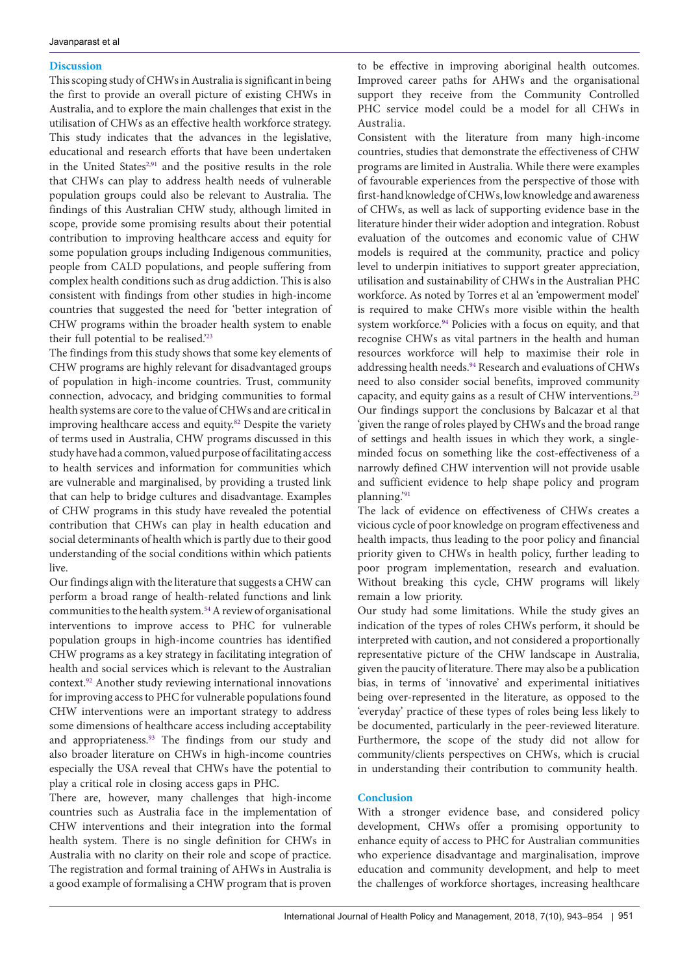### **Discussion**

This scoping study of CHWs in Australia is significant in being the first to provide an overall picture of existing CHWs in Australia, and to explore the main challenges that exist in the utilisation of CHWs as an effective health workforce strategy. This study indicates that the advances in the legislative, educational and research efforts that have been undertaken in the United States<sup>2,91</sup> and the positive results in the role that CHWs can play to address health needs of vulnerable population groups could also be relevant to Australia. The findings of this Australian CHW study, although limited in scope, provide some promising results about their potential contribution to improving healthcare access and equity for some population groups including Indigenous communities, people from CALD populations, and people suffering from complex health conditions such as drug addiction. This is also consistent with findings from other studies in high-income countries that suggested the need for 'better integration of CHW programs within the broader health system to enable their full potential to be realised.['23](#page-9-20)

The findings from this study shows that some key elements of CHW programs are highly relevant for disadvantaged groups of population in high-income countries. Trust, community connection, advocacy, and bridging communities to formal health systems are core to the value of CHWs and are critical in improving healthcare access and equity.<sup>82</sup> Despite the variety of terms used in Australia, CHW programs discussed in this study have had a common, valued purpose of facilitating access to health services and information for communities which are vulnerable and marginalised, by providing a trusted link that can help to bridge cultures and disadvantage. Examples of CHW programs in this study have revealed the potential contribution that CHWs can play in health education and social determinants of health which is partly due to their good understanding of the social conditions within which patients live.

Our findings align with the literature that suggests a CHW can perform a broad range of health-related functions and link communities to the health system. $^{54}\mathrm{A}$  review of organisational interventions to improve access to PHC for vulnerable population groups in high-income countries has identified CHW programs as a key strategy in facilitating integration of health and social services which is relevant to the Australian context[.92](#page-11-11) Another study reviewing international innovations for improving access to PHC for vulnerable populations found CHW interventions were an important strategy to address some dimensions of healthcare access including acceptability and appropriateness.<sup>93</sup> The findings from our study and also broader literature on CHWs in high-income countries especially the USA reveal that CHWs have the potential to play a critical role in closing access gaps in PHC.

There are, however, many challenges that high-income countries such as Australia face in the implementation of CHW interventions and their integration into the formal health system. There is no single definition for CHWs in Australia with no clarity on their role and scope of practice. The registration and formal training of AHWs in Australia is a good example of formalising a CHW program that is proven to be effective in improving aboriginal health outcomes. Improved career paths for AHWs and the organisational support they receive from the Community Controlled PHC service model could be a model for all CHWs in Australia.

Consistent with the literature from many high-income countries, studies that demonstrate the effectiveness of CHW programs are limited in Australia. While there were examples of favourable experiences from the perspective of those with first-hand knowledge of CHWs, low knowledge and awareness of CHWs, as well as lack of supporting evidence base in the literature hinder their wider adoption and integration. Robust evaluation of the outcomes and economic value of CHW models is required at the community, practice and policy level to underpin initiatives to support greater appreciation, utilisation and sustainability of CHWs in the Australian PHC workforce. As noted by Torres et al an 'empowerment model' is required to make CHWs more visible within the health system workforce.<sup>[94](#page-11-13)</sup> Policies with a focus on equity, and that recognise CHWs as vital partners in the health and human resources workforce will help to maximise their role in addressing health needs.[94](#page-11-13) Research and evaluations of CHWs need to also consider social benefits, improved community capacity, and equity gains as a result of CHW interventions[.23](#page-9-20) Our findings support the conclusions by Balcazar et al that 'given the range of roles played by CHWs and the broad range of settings and health issues in which they work, a singleminded focus on something like the cost-effectiveness of a narrowly defined CHW intervention will not provide usable and sufficient evidence to help shape policy and program planning.['91](#page-11-9)

The lack of evidence on effectiveness of CHWs creates a vicious cycle of poor knowledge on program effectiveness and health impacts, thus leading to the poor policy and financial priority given to CHWs in health policy, further leading to poor program implementation, research and evaluation. Without breaking this cycle, CHW programs will likely remain a low priority.

Our study had some limitations. While the study gives an indication of the types of roles CHWs perform, it should be interpreted with caution, and not considered a proportionally representative picture of the CHW landscape in Australia, given the paucity of literature. There may also be a publication bias, in terms of 'innovative' and experimental initiatives being over-represented in the literature, as opposed to the 'everyday' practice of these types of roles being less likely to be documented, particularly in the peer-reviewed literature. Furthermore, the scope of the study did not allow for community/clients perspectives on CHWs, which is crucial in understanding their contribution to community health.

#### **Conclusion**

With a stronger evidence base, and considered policy development, CHWs offer a promising opportunity to enhance equity of access to PHC for Australian communities who experience disadvantage and marginalisation, improve education and community development, and help to meet the challenges of workforce shortages, increasing healthcare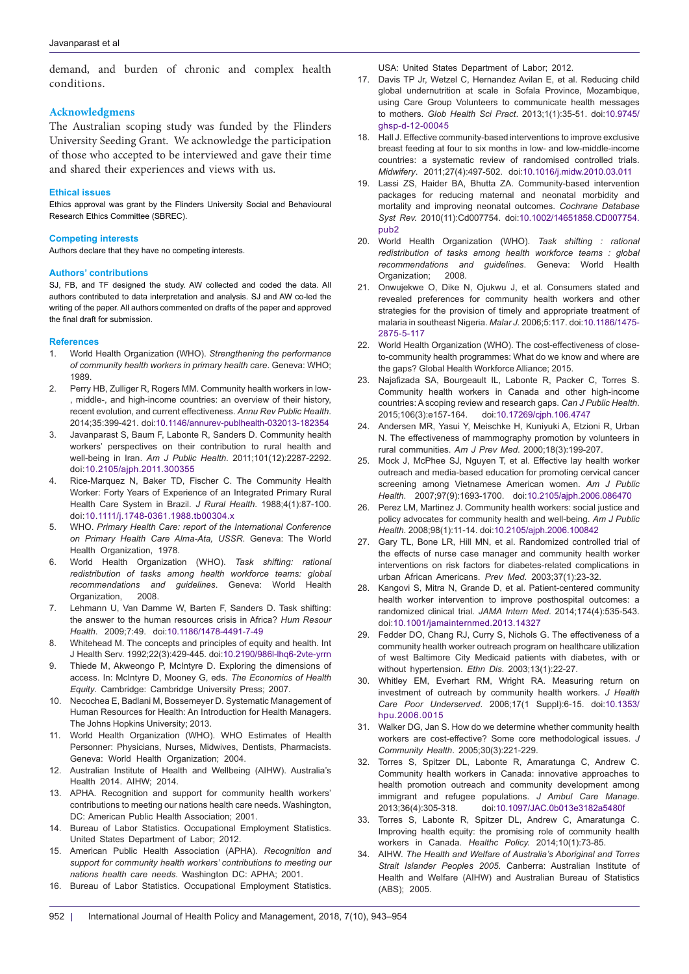demand, and burden of chronic and complex health conditions.

#### **Acknowledgmens**

The Australian scoping study was funded by the Flinders University Seeding Grant. We acknowledge the participation of those who accepted to be interviewed and gave their time and shared their experiences and views with us.

#### **Ethical issues**

Ethics approval was grant by the Flinders University Social and Behavioural Research Ethics Committee (SBREC).

#### **Competing interests**

Authors declare that they have no competing interests.

#### **Authors' contributions**

SJ, FB, and TF designed the study. AW collected and coded the data. All authors contributed to data interpretation and analysis. SJ and AW co-led the writing of the paper. All authors commented on drafts of the paper and approved the final draft for submission.

#### **References**

- 1. World Health Organization (WHO). *Strengthening the performance of community health workers in primary health care*. Geneva: WHO; 1989.
- <span id="page-9-0"></span>2. Perry HB, Zulliger R, Rogers MM. Community health workers in low- , middle-, and high-income countries: an overview of their history, recent evolution, and current effectiveness. *Annu Rev Public Health*. 2014;35:399-421. doi:[10.1146/annurev-publhealth-032013-182354](https://doi.org/10.1146/annurev-publhealth-032013-182354)
- 3. Javanparast S, Baum F, Labonte R, Sanders D. Community health workers' perspectives on their contribution to rural health and well-being in Iran. *Am J Public Health*. 2011;101(12):2287-2292. doi:[10.2105/ajph.2011.300355](https://doi.org/10.2105/ajph.2011.300355)
- <span id="page-9-1"></span>4. Rice-Marquez N, Baker TD, Fischer C. The Community Health Worker: Forty Years of Experience of an Integrated Primary Rural Health Care System in Brazil*. J Rural Health*. 1988;4(1):87-100. doi:[10.1111/j.1748-0361.1988.tb00304.x](https://doi.org/10.1111/j.1748-0361.1988.tb00304.x)
- <span id="page-9-2"></span>5. WHO. *Primary Health Care: report of the International Conference on Primary Health Care Alma-Ata, USSR*. Geneva: The World Health Organization, 1978.
- <span id="page-9-3"></span>6. World Health Organization (WHO). *Task shifting: rational redistribution of tasks among health workforce teams: global recommendations and guidelines*. Geneva: World Health Organization, 2008.
- <span id="page-9-4"></span>7. Lehmann U, Van Damme W, Barten F, Sanders D. Task shifting: the answer to the human resources crisis in Africa? *Hum Resour Health*. 2009;7:49. doi[:10.1186/1478-4491-7-49](https://doi.org/10.1186/1478-4491-7-49)
- <span id="page-9-5"></span>8. Whitehead M. The concepts and principles of equity and health. Int J Health Serv. 1992;22(3):429-445. doi:[10.2190/986l-lhq6-2vte-yrrn](https://doi.org/10.2190/986l-lhq6-2vte-yrrn)
- <span id="page-9-6"></span>9. Thiede M, Akweongo P, McIntyre D. Exploring the dimensions of access. In: McIntyre D, Mooney G, eds. *The Economics of Health Equity*. Cambridge: Cambridge University Press; 2007.
- <span id="page-9-7"></span>10. Necochea E, Badlani M, Bossemeyer D. Systematic Management of Human Resources for Health: An Introduction for Health Managers. The Johns Hopkins University; 2013.
- <span id="page-9-8"></span>11. World Health Organization (WHO). WHO Estimates of Health Personner: Physicians, Nurses, Midwives, Dentists, Pharmacists. Geneva: World Health Organization; 2004.
- <span id="page-9-9"></span>12. Australian Institute of Health and Wellbeing (AIHW). Australia's Health 2014. AIHW; 2014.
- <span id="page-9-10"></span>13. APHA. Recognition and support for community health workers' contributions to meeting our nations health care needs. Washington, DC: American Public Health Association; 2001.
- <span id="page-9-11"></span>Bureau of Labor Statistics. Occupational Employment Statistics. United States Department of Labor; 2012.
- <span id="page-9-12"></span>15. American Public Health Association (APHA). *Recognition and support for community health workers' contributions to meeting our nations health care needs*. Washington DC: APHA; 2001.
- <span id="page-9-13"></span>16. Bureau of Labor Statistics. Occupational Employment Statistics.

<span id="page-9-14"></span>USA: United States Department of Labor; 2012.

- 17. Davis TP Jr, Wetzel C, Hernandez Avilan E, et al. Reducing child global undernutrition at scale in Sofala Province, Mozambique, using Care Group Volunteers to communicate health messages to mothers. *Glob Health Sci Pract*. 2013;1(1):35-51. doi[:10.9745/](https://doi.org/10.9745/ghsp-d-12-00045) [ghsp-d-12-00045](https://doi.org/10.9745/ghsp-d-12-00045)
- <span id="page-9-15"></span>18. Hall J. Effective community-based interventions to improve exclusive breast feeding at four to six months in low- and low-middle-income countries: a systematic review of randomised controlled trials. *Midwifery*. 2011;27(4):497-502. doi:[10.1016/j.midw.2010.03.011](https://doi.org/10.1016/j.midw.2010.03.011)
- <span id="page-9-16"></span>19. Lassi ZS, Haider BA, Bhutta ZA. Community-based intervention packages for reducing maternal and neonatal morbidity and mortality and improving neonatal outcomes. *Cochrane Database Syst Rev.* 2010(11):Cd007754. doi:[10.1002/14651858.CD007754.](https://doi.org/10.1002/14651858.CD007754.pub2) [pub2](https://doi.org/10.1002/14651858.CD007754.pub2)
- <span id="page-9-17"></span>20. World Health Organization (WHO). *Task shifting : rational redistribution of tasks among health workforce teams : global recommendations and guidelines*. Geneva: World Health Organization; 2008.
- <span id="page-9-18"></span>21. Onwujekwe O, Dike N, Ojukwu J, et al. Consumers stated and revealed preferences for community health workers and other strategies for the provision of timely and appropriate treatment of malaria in southeast Nigeria. *Malar J.* 2006;5:117. doi[:10.1186/1475-](https://doi.org/10.1186/1475-2875-5-117) [2875-5-117](https://doi.org/10.1186/1475-2875-5-117)
- <span id="page-9-19"></span>22. World Health Organization (WHO). The cost-effectiveness of closeto-community health programmes: What do we know and where are the gaps? Global Health Workforce Alliance; 2015.
- <span id="page-9-20"></span>23. Najafizada SA, Bourgeault IL, Labonte R, Packer C, Torres S. Community health workers in Canada and other high-income countries: A scoping review and research gaps. *Can J Public Health*. 2015;106(3):e157-164. doi:[10.17269/cjph.106.4747](https://doi.org/10.17269/cjph.106.4747)
- <span id="page-9-21"></span>24. Andersen MR, Yasui Y, Meischke H, Kuniyuki A, Etzioni R, Urban N. The effectiveness of mammography promotion by volunteers in rural communities. *Am J Prev Med*. 2000;18(3):199-207.
- <span id="page-9-22"></span>25. Mock J, McPhee SJ, Nguyen T, et al. Effective lay health worker outreach and media-based education for promoting cervical cancer screening among Vietnamese American women. *Am J Public Health*. 2007;97(9):1693-1700. doi:[10.2105/ajph.2006.086470](https://doi.org/10.2105/ajph.2006.086470)
- <span id="page-9-23"></span>26. Perez LM, Martinez J. Community health workers: social justice and policy advocates for community health and well-being. *Am J Public Health*. 2008;98(1):11-14. doi[:10.2105/ajph.2006.100842](https://doi.org/10.2105/ajph.2006.100842)
- <span id="page-9-24"></span>27. Gary TL, Bone LR, Hill MN, et al. Randomized controlled trial of the effects of nurse case manager and community health worker interventions on risk factors for diabetes-related complications in urban African Americans. *Prev Med*. 2003;37(1):23-32.
- <span id="page-9-25"></span>28. Kangovi S, Mitra N, Grande D, et al. Patient-centered community health worker intervention to improve posthospital outcomes: a randomized clinical trial*. JAMA Intern Med*. 2014;174(4):535-543. doi:[10.1001/jamainternmed.2013.14327](https://doi.org/10.1001/jamainternmed.2013.14327)
- <span id="page-9-26"></span>29. Fedder DO, Chang RJ, Curry S, Nichols G. The effectiveness of a community health worker outreach program on healthcare utilization of west Baltimore City Medicaid patients with diabetes, with or without hypertension. *Ethn Dis*. 2003;13(1):22-27.
- <span id="page-9-27"></span>30. Whitley EM, Everhart RM, Wright RA. Measuring return on investment of outreach by community health workers. *J Health Care Poor Underserved*. 2006;17(1 Suppl):6-15. doi[:10.1353/](https://doi.org/10.1353/hpu.2006.0015) [hpu.2006.0015](https://doi.org/10.1353/hpu.2006.0015)
- <span id="page-9-28"></span>31. Walker DG, Jan S. How do we determine whether community health workers are cost-effective? Some core methodological issues. *J Community Health*. 2005;30(3):221-229.
- <span id="page-9-29"></span>32. Torres S, Spitzer DL, Labonte R, Amaratunga C, Andrew C. Community health workers in Canada: innovative approaches to health promotion outreach and community development among immigrant and refugee populations. *J Ambul Care Manage*. 2013;36(4):305-318. doi:[10.1097/JAC.0b013e3182a5480f](https://doi.org/10.1097/JAC.0b013e3182a5480f)
- <span id="page-9-30"></span>33. Torres S, Labonte R, Spitzer DL, Andrew C, Amaratunga C. Improving health equity: the promising role of community health workers in Canada. *Healthc Policy.* 2014;10(1):73-85.
- <span id="page-9-31"></span>34. AIHW. *The Health and Welfare of Australia's Aboriginal and Torres Strait Islander Peoples 2005*. Canberra: Australian Institute of Health and Welfare (AIHW) and Australian Bureau of Statistics (ABS); 2005.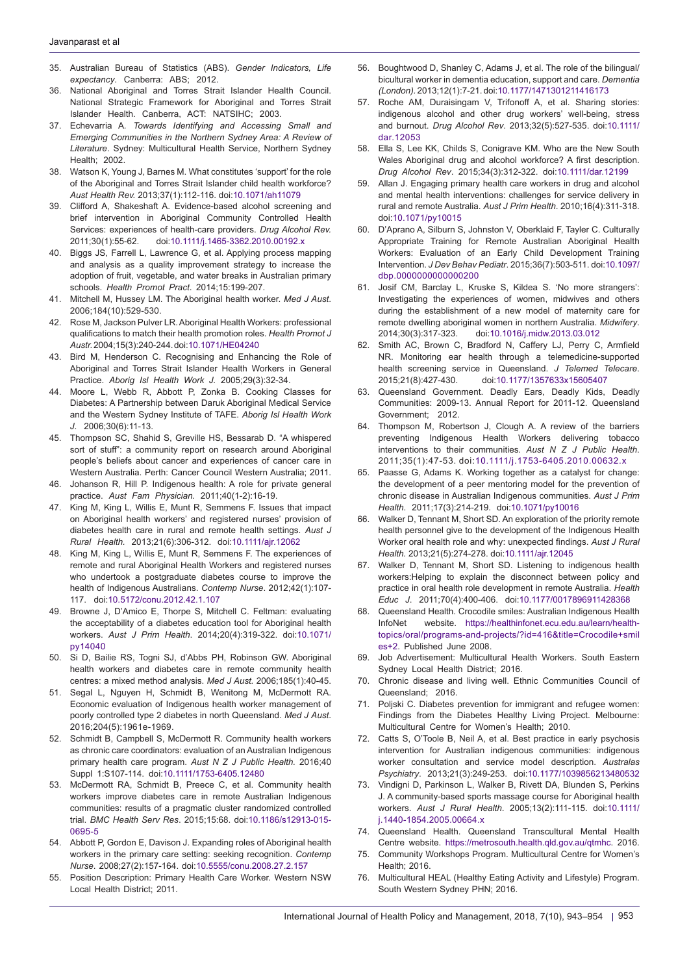- <span id="page-10-0"></span>35. Australian Bureau of Statistics (ABS). *Gender Indicators, Life expectancy*. Canberra: ABS; 2012.
- <span id="page-10-1"></span>36. National Aboriginal and Torres Strait Islander Health Council. National Strategic Framework for Aboriginal and Torres Strait Islander Health. Canberra, ACT: NATSIHC; 2003.
- <span id="page-10-2"></span>37. Echevarria A*. Towards Identifying and Accessing Small and Emerging Communities in the Northern Sydney Area: A Review of Literature*. Sydney: Multicultural Health Service, Northern Sydney Health; 2002.
- <span id="page-10-3"></span>38. Watson K, Young J, Barnes M. What constitutes 'support' for the role of the Aboriginal and Torres Strait Islander child health workforce? *Aust Health Rev.* 2013;37(1):112-116. doi[:10.1071/ah11079](https://doi.org/10.1071/ah11079)
- <span id="page-10-4"></span>39. Clifford A, Shakeshaft A. Evidence-based alcohol screening and brief intervention in Aboriginal Community Controlled Health Services: experiences of health-care providers. *Drug Alcohol Rev.*  2011;30(1):55-62. doi[:10.1111/j.1465-3362.2010.00192.x](https://doi.org/10.1111/j.1465-3362.2010.00192.x)
- <span id="page-10-5"></span>40. Biggs JS, Farrell L, Lawrence G, et al. Applying process mapping and analysis as a quality improvement strategy to increase the adoption of fruit, vegetable, and water breaks in Australian primary schools. *Health Promot Pract*. 2014;15:199-207.
- <span id="page-10-6"></span>41. Mitchell M, Hussey LM. The Aboriginal health worker. *Med J Aust*. 2006;184(10):529-530.
- <span id="page-10-7"></span>42. Rose M, Jackson Pulver LR. Aboriginal Health Workers: professional qualifications to match their health promotion roles. *Health Promot J Austr.* 2004;15(3):240-244. doi:[10.1071/HE04240](https://doi.org/10.1071/HE04240)
- <span id="page-10-8"></span>Bird M, Henderson C. Recognising and Enhancing the Role of Aboriginal and Torres Strait Islander Health Workers in General Practice. *Aborig Isl Health Work J.* 2005;29(3):32-34.
- <span id="page-10-9"></span>44. Moore L, Webb R, Abbott P, Zonka B. Cooking Classes for Diabetes: A Partnership between Daruk Aboriginal Medical Service and the Western Sydney Institute of TAFE. *Aborig Isl Health Work J*. 2006;30(6):11-13.
- <span id="page-10-10"></span>45. Thompson SC, Shahid S, Greville HS, Bessarab D. "A whispered sort of stuff": a community report on research around Aboriginal people's beliefs about cancer and experiences of cancer care in Western Australia. Perth: Cancer Council Western Australia; 2011.
- <span id="page-10-11"></span>46. Johanson R, Hill P. Indigenous health: A role for private general practice. *Aust Fam Physician.* 2011;40(1-2):16-19.
- <span id="page-10-12"></span>47. King M, King L, Willis E, Munt R, Semmens F. Issues that impact on Aboriginal health workers' and registered nurses' provision of diabetes health care in rural and remote health settings. *Aust J Rural Health.* 2013;21(6):306-312. doi[:10.1111/ajr.12062](https://doi.org/10.1111/ajr.12062)
- <span id="page-10-13"></span>48. King M, King L, Willis E, Munt R, Semmens F. The experiences of remote and rural Aboriginal Health Workers and registered nurses who undertook a postgraduate diabetes course to improve the health of Indigenous Australians. *Contemp Nurse*. 2012;42(1):107- 117. doi[:10.5172/conu.2012.42.1.107](https://doi.org/10.5172/conu.2012.42.1.107)
- <span id="page-10-17"></span>49. Browne J, D'Amico E, Thorpe S, Mitchell C. Feltman: evaluating the acceptability of a diabetes education tool for Aboriginal health workers. *Aust J Prim Health*. 2014;20(4):319-322. doi:[10.1071/](https://doi.org/10.1071/py14040) [py14040](https://doi.org/10.1071/py14040)
- 50. Si D, Bailie RS, Togni SJ, d'Abbs PH, Robinson GW. Aboriginal health workers and diabetes care in remote community health centres: a mixed method analysis. *Med J Aust.* 2006;185(1):40-45.
- 51. Segal L, Nguyen H, Schmidt B, Wenitong M, McDermott RA. Economic evaluation of Indigenous health worker management of poorly controlled type 2 diabetes in north Queensland. *Med J Aust*. 2016;204(5):1961e-1969.
- 52. Schmidt B, Campbell S, McDermott R. Community health workers as chronic care coordinators: evaluation of an Australian Indigenous primary health care program. *Aust N Z J Public Health.* 2016;40 Suppl 1:S107-114. doi:[10.1111/1753-6405.12480](https://doi.org/10.1111/1753-6405.12480)
- McDermott RA, Schmidt B, Preece C, et al. Community health workers improve diabetes care in remote Australian Indigenous communities: results of a pragmatic cluster randomized controlled trial. *BMC Health Serv Res*. 2015;15:68. doi:[10.1186/s12913-015-](https://doi.org/10.1186/s12913-015-0695-5) [0695-5](https://doi.org/10.1186/s12913-015-0695-5)
- <span id="page-10-18"></span>54. Abbott P, Gordon E, Davison J. Expanding roles of Aboriginal health workers in the primary care setting: seeking recognition. *Contemp Nurse*. 2008;27(2):157-164. doi:[10.5555/conu.2008.27.2.157](https://doi.org/10.5555/conu.2008.27.2.157)
- 55. Position Description: Primary Health Care Worker. Western NSW Local Health District; 2011.
- 56. Boughtwood D, Shanley C, Adams J, et al. The role of the bilingual/ bicultural worker in dementia education, support and care. *Dementia (London).* 2013;12(1):7-21. doi[:10.1177/1471301211416173](https://doi.org/10.1177/1471301211416173)
- 57. Roche AM, Duraisingam V, Trifonoff A, et al. Sharing stories: indigenous alcohol and other drug workers' well-being, stress and burnout. *Drug Alcohol Rev*. 2013;32(5):527-535. doi:[10.1111/](https://doi.org/10.1111/dar.12053) [dar.12053](https://doi.org/10.1111/dar.12053)
- 58. Ella S, Lee KK, Childs S, Conigrave KM. Who are the New South Wales Aboriginal drug and alcohol workforce? A first description. *Drug Alcohol Rev*. 2015;34(3):312-322. doi:[10.1111/dar.12199](https://doi.org/10.1111/dar.12199)
- 59. Allan J. Engaging primary health care workers in drug and alcohol and mental health interventions: challenges for service delivery in rural and remote Australia. *Aust J Prim Health*. 2010;16(4):311-318. doi[:10.1071/py10015](https://doi.org/10.1071/py10015)
- 60. D'Aprano A, Silburn S, Johnston V, Oberklaid F, Tayler C. Culturally Appropriate Training for Remote Australian Aboriginal Health Workers: Evaluation of an Early Child Development Training Intervention. *J Dev Behav Pediatr*. 2015;36(7):503-511. doi[:10.1097/](https://doi.org/10.1097/dbp.0000000000000200) [dbp.0000000000000200](https://doi.org/10.1097/dbp.0000000000000200)
- 61. Josif CM, Barclay L, Kruske S, Kildea S. 'No more strangers': Investigating the experiences of women, midwives and others during the establishment of a new model of maternity care for remote dwelling aboriginal women in northern Australia. *Midwifery*. 2014;30(3):317-323. doi[:10.1016/j.midw.2013.03.012](https://doi.org/10.1016/j.midw.2013.03.012)
- 62. Smith AC, Brown C, Bradford N, Caffery LJ, Perry C, Armfield NR. Monitoring ear health through a telemedicine-supported health screening service in Queensland. *J Telemed Telecare*. 2015;21(8):427-430. doi:[10.1177/1357633x15605407](https://doi.org/10.1177/1357633x15605407)
- <span id="page-10-16"></span>63. Queensland Government. Deadly Ears, Deadly Kids, Deadly Communities: 2009-13. Annual Report for 2011-12. Queensland Government; 2012.
- 64. Thompson M, Robertson J, Clough A. A review of the barriers preventing Indigenous Health Workers delivering tobacco interventions to their communities*. Aust N Z J Public Health*. 2011;35(1):47-53. doi:[10.1111/j.1753-6405.2010.00632.x](https://doi.org/10.1111/j.1753-6405.2010.00632.x)
- 65. Paasse G, Adams K. Working together as a catalyst for change: the development of a peer mentoring model for the prevention of chronic disease in Australian Indigenous communities. *Aust J Prim Health*. 2011;17(3):214-219. doi:[10.1071/py10016](https://doi.org/10.1071/py10016)
- 66. Walker D, Tennant M, Short SD. An exploration of the priority remote health personnel give to the development of the Indigenous Health Worker oral health role and why: unexpected findings. *Aust J Rural Health.* 2013;21(5):274-278. doi[:10.1111/ajr.12045](https://doi.org/10.1111/ajr.12045)
- 67. Walker D, Tennant M, Short SD. Listening to indigenous health workers:Helping to explain the disconnect between policy and practice in oral health role development in remote Australia. *Health Educ J*. 2011;70(4):400-406. doi:[10.1177/0017896911428368](https://doi.org/10.1177/0017896911428368)
- 68. Queensland Health. Crocodile smiles: Australian Indigenous Health InfoNet website. [https://healthinfonet.ecu.edu.au/learn/health](https://healthinfonet.ecu.edu.au/learn/health-topics/oral/programs-and-projects/?id=416&title=Crocod)[topics/oral/programs-and-projects/?id=416&title=Crocodile+smil](https://healthinfonet.ecu.edu.au/learn/health-topics/oral/programs-and-projects/?id=416&title=Crocod) [es+2.](https://healthinfonet.ecu.edu.au/learn/health-topics/oral/programs-and-projects/?id=416&title=Crocod) Published June 2008.
- <span id="page-10-14"></span>69. Job Advertisement: Multicultural Health Workers. South Eastern Sydney Local Health District; 2016.
- 70. Chronic disease and living well. Ethnic Communities Council of Queensland; 2016.
- 71. Poljski C. Diabetes prevention for immigrant and refugee women: Findings from the Diabetes Healthy Living Project. Melbourne: Multicultural Centre for Women's Health; 2010.
- 72. Catts S, O'Toole B, Neil A, et al. Best practice in early psychosis intervention for Australian indigenous communities: indigenous worker consultation and service model description. *Australas Psychiatry*. 2013;21(3):249-253. doi[:10.1177/1039856213480532](https://doi.org/10.1177/1039856213480532)
- 73. Vindigni D, Parkinson L, Walker B, Rivett DA, Blunden S, Perkins J. A community-based sports massage course for Aboriginal health workers. *Aust J Rural Health*. 2005;13(2):111-115. doi:[10.1111/](https://doi.org/10.1111/j.1440-1854.2005.00664.x) [j.1440-1854.2005.00664.x](https://doi.org/10.1111/j.1440-1854.2005.00664.x)
- 74. Queensland Health. Queensland Transcultural Mental Health Centre website. [https://metrosouth.health.qld.gov.au/qtmhc.](https://metrosouth.health.qld.gov.au/qtmhc) 2016.
- <span id="page-10-15"></span>75. Community Workshops Program. Multicultural Centre for Women's Health; 2016.
- 76. Multicultural HEAL (Healthy Eating Activity and Lifestyle) Program. South Western Sydney PHN; 2016.